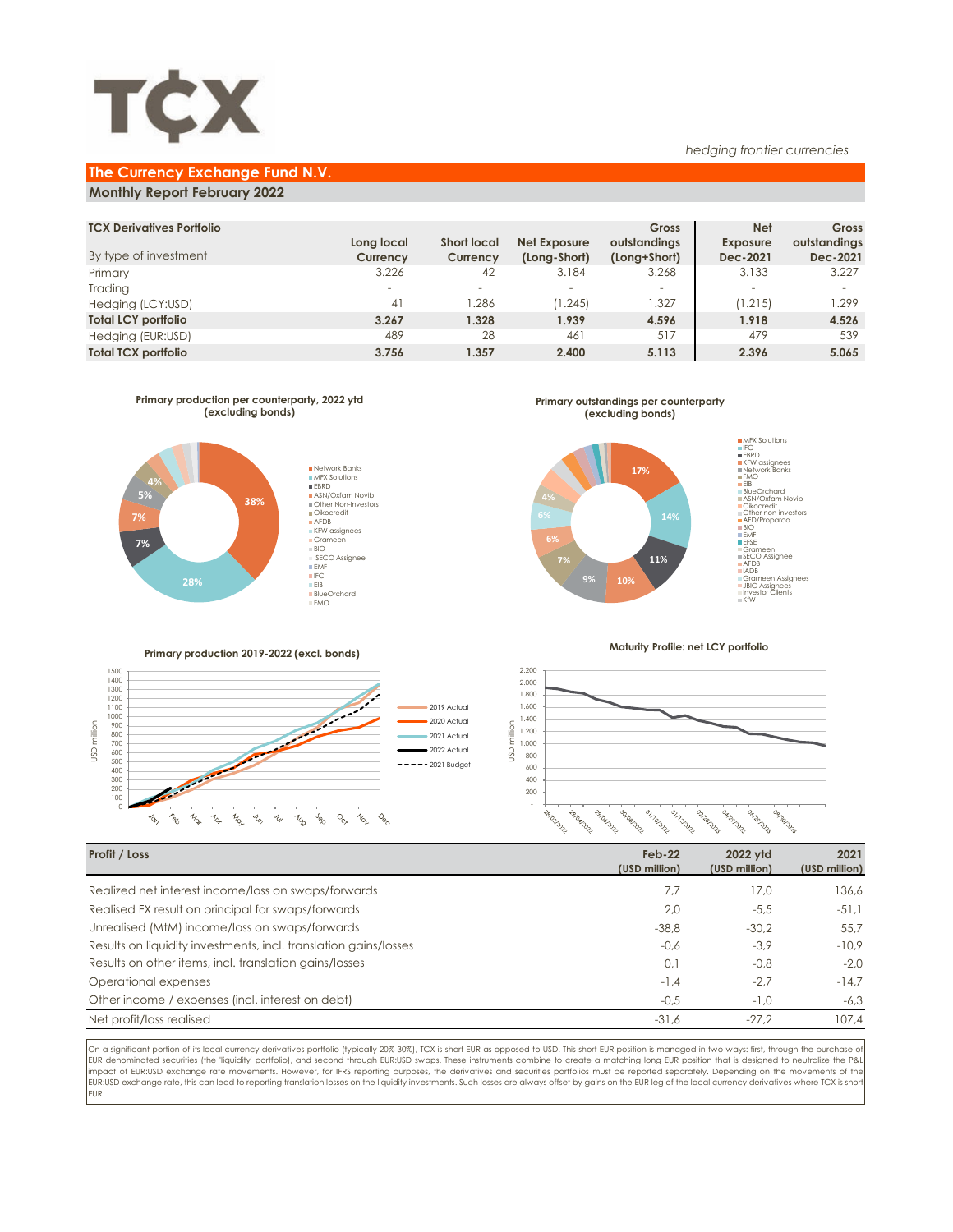

### **The Currency Exchange Fund N.V.**

### **Monthly Report February 2022**

| <b>TCX Derivatives Portfolio</b> |                          |                    |              | Gross        | <b>Net</b>               | Gross        |
|----------------------------------|--------------------------|--------------------|--------------|--------------|--------------------------|--------------|
|                                  | Long local               | <b>Short local</b> | Net Exposure | outstandings | <b>Exposure</b>          | outstandings |
| By type of investment            | Currency                 | Currency           | (Long-Short) | (Long+Short) | Dec-2021                 | Dec-2021     |
| Primary                          | 3.226                    | 42                 | 3.184        | 3.268        | 3.133                    | 3.227        |
| Trading                          | $\overline{\phantom{a}}$ |                    | $\sim$       | -            | $\overline{\phantom{a}}$ |              |
| Hedging (LCY:USD)                | 41                       | 1.286              | (1.245)      | .327         | (1.215)                  | 1.299        |
| <b>Total LCY portfolio</b>       | 3.267                    | 1.328              | 1.939        | 4.596        | 1.918                    | 4.526        |
| Hedging (EUR:USD)                | 489                      | 28                 | 46           | 517          | 479                      | 539          |
| <b>Total TCX portfolio</b>       | 3.756                    | 1.357              | 2.400        | 5.113        | 2.396                    | 5.065        |
|                                  |                          |                    |              |              |                          |              |



**Primary outstandings per counterparty (excluding bonds)**



**Primary production 2019-2022 (excl. bonds)**



**Maturity Profile: net LCY portfolio**

*hedging frontier currencies*



| Profit / Loss                                                    | $Feb-22$<br>(USD million) | 2022 vtd<br>(USD million) | 2021<br>(USD million) |
|------------------------------------------------------------------|---------------------------|---------------------------|-----------------------|
| Realized net interest income/loss on swaps/forwards              | 7.7                       | 17.0                      | 136,6                 |
| Realised FX result on principal for swaps/forwards               | 2.0                       | $-5.5$                    | $-51.1$               |
| Unrealised (MtM) income/loss on swaps/forwards                   | $-38.8$                   | $-30.2$                   | 55.7                  |
| Results on liquidity investments, incl. translation gains/losses | $-0.6$                    | $-3.9$                    | $-10.9$               |
| Results on other items, incl. translation gains/losses           | 0,1                       | $-0.8$                    | $-2.0$                |
| Operational expenses                                             | $-1.4$                    | $-2.7$                    | $-14.7$               |
| Other income / expenses (incl. interest on debt)                 | $-0.5$                    | $-1.0$                    | $-6,3$                |
| Net profit/loss realised                                         | $-31.6$                   | $-27.2$                   | 107,4                 |

On a significant portion of its local currency derivatives portfolio (typically 20%-30%), TCX is short EUR as opposed to USD. This short EUR position is managed in two ways: first, through the purchase of EUR denominated securities (the 'liquidity' portfolio), and second through EUR:USD swaps. These instruments combine to create a matching long EUR position that is designed to neutralize the P&L impact of EUR:USD exchange rate movements. However, for IFRS reporting purposes, the derivatives and securities portfolios must be reported separately. Depending on the movements of the EUR:USD exchange rate, this can lead to reporting translation losses on the liquidity investments. Such losses are always offset by gains on the EUR leg of the local currency derivatives where TCX is shor EUR.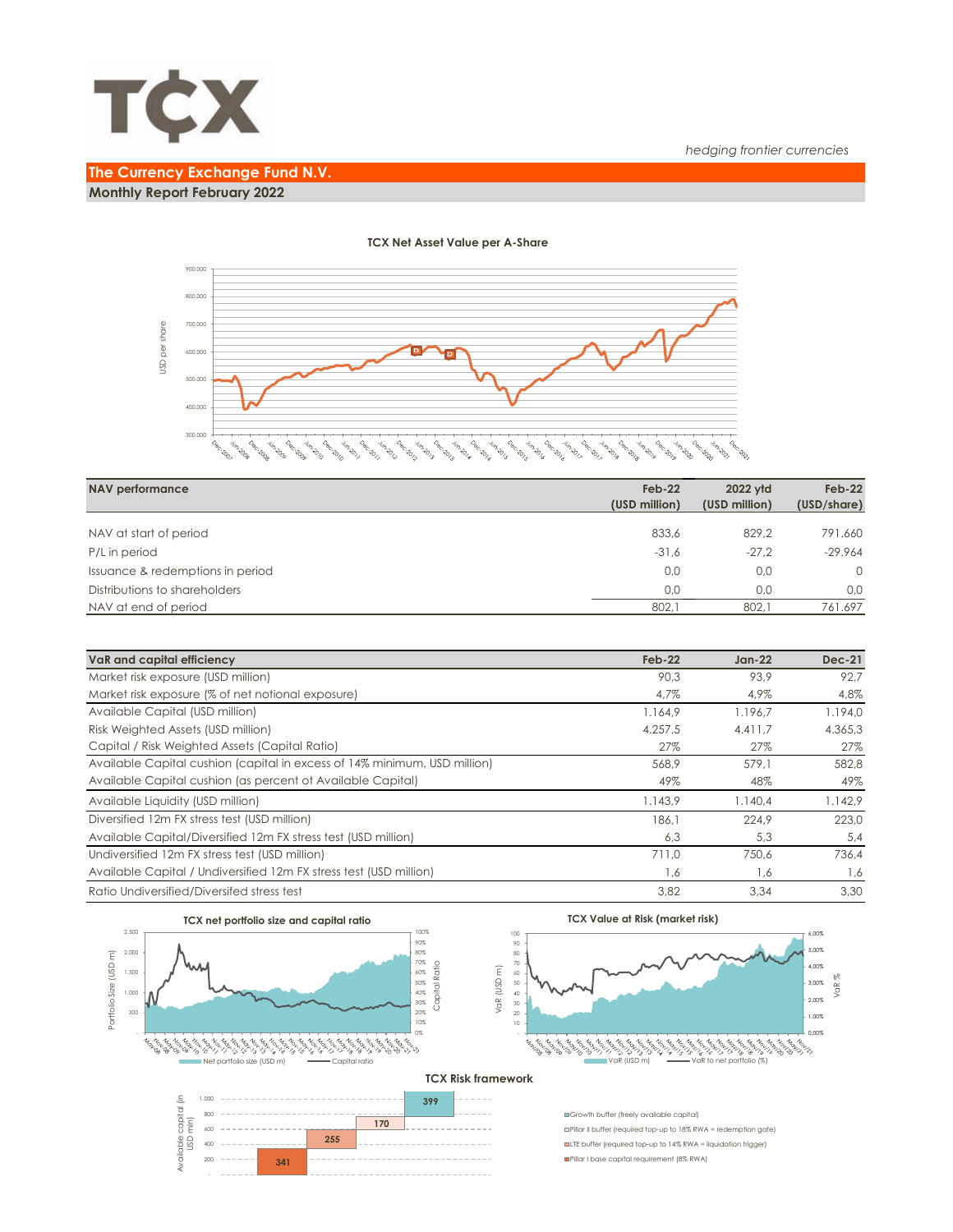

## **The Currency Exchange Fund N.V. Monthly Report February 2022**



| <b>NAV performance</b>           | $Feb-22$<br>(USD million) | 2022 vtd<br>(USD million) | $Feb-22$<br>(USD/share) |
|----------------------------------|---------------------------|---------------------------|-------------------------|
|                                  |                           | 829.2                     | 791.660                 |
| NAV at start of period           | 833,6                     |                           |                         |
| P/L in period                    | $-31.6$                   | $-27.2$                   | $-29.964$               |
| Issuance & redemptions in period | 0,0                       | 0.0                       | $\Omega$                |
| Distributions to shareholders    | 0.0                       | 0.0                       | 0.0                     |
| NAV at end of period             | 802,1                     | 802.1                     | 761.697                 |

| VaR and capital efficiency                                                | $Feb-22$ | $Jan-22$ | $Dec-21$ |
|---------------------------------------------------------------------------|----------|----------|----------|
| Market risk exposure (USD million)                                        | 90.3     | 93.9     | 92.7     |
| Market risk exposure (% of net notional exposure)                         | 4,7%     | 4,9%     | 4,8%     |
| Available Capital (USD million)                                           | 1.164.9  | 1.196.7  | 1.194.0  |
| Risk Weighted Assets (USD million)                                        | 4.257.5  | 4.411.7  | 4.365,3  |
| Capital / Risk Weighted Assets (Capital Ratio)                            | 27%      | 27%      | 27%      |
| Available Capital cushion (capital in excess of 14% minimum, USD million) | 568,9    | 579.1    | 582,8    |
| Available Capital cushion (as percent of Available Capital)               | 49%      | 48%      | 49%      |
| Available Liquidity (USD million)                                         | 1.143,9  | 1.140.4  | 1.142.9  |
| Diversified 12m FX stress test (USD million)                              | 186.1    | 224.9    | 223.0    |
| Available Capital/Diversified 12m FX stress test (USD million)            | 6,3      | 5,3      | 5,4      |
| Undiversified 12m FX stress test (USD million)                            | 711.0    | 750.6    | 736.4    |
| Available Capital / Undiversified 12m FX stress test (USD million)        | 1,6      | 1,6      | 1,6      |
| Ratio Undiversified/Diversifed stress test                                | 3.82     | 3.34     | 3.30     |



#### **TCX Net Asset Value per A-Share**